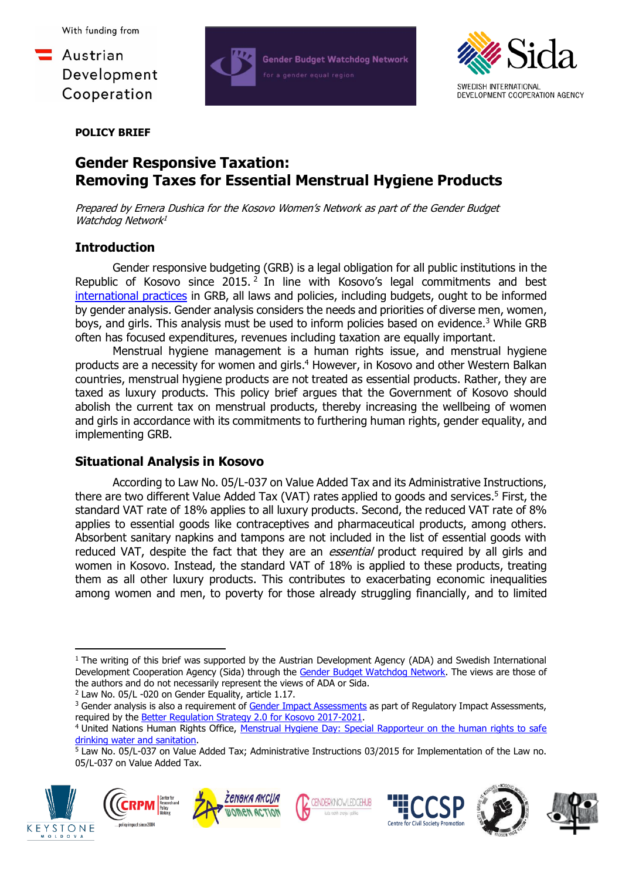



**POLICY BRIEF**

# **Gender Responsive Taxation: Removing Taxes for Essential Menstrual Hygiene Products**

Prepared by Ernera Dushica for the Kosovo Women's Network as part of the Gender Budget Watchdog Network<sup>1</sup>

## **Introduction**

Gender responsive budgeting (GRB) is a legal obligation for all public institutions in the Republic of Kosovo since  $2015.<sup>2</sup>$  In line with Kosovo's legal commitments and best [international practices](https://womensnetwork.org/wp-content/uploads/2018/10/20170428113946744-1.pdf) in GRB, all laws and policies, including budgets, ought to be informed by gender analysis. Gender analysis considers the needs and priorities of diverse men, women, boys, and girls. This analysis must be used to inform policies based on evidence. <sup>3</sup> While GRB often has focused expenditures, revenues including taxation are equally important.

Menstrual hygiene management is a human rights issue, and menstrual hygiene products are a necessity for women and girls.<sup>4</sup> However, in Kosovo and other Western Balkan countries, menstrual hygiene products are not treated as essential products. Rather, they are taxed as luxury products. This policy brief argues that the Government of Kosovo should abolish the current tax on menstrual products, thereby increasing the wellbeing of women and girls in accordance with its commitments to furthering human rights, gender equality, and implementing GRB.

### **Situational Analysis in Kosovo**

According to Law No. 05/L-037 on Value Added Tax and its Administrative Instructions, there are two different Value Added Tax (VAT) rates applied to goods and services. <sup>5</sup> First, the standard VAT rate of 18% applies to all luxury products. Second, the reduced VAT rate of 8% applies to essential goods like contraceptives and pharmaceutical products, among others. Absorbent sanitary napkins and tampons are not included in the list of essential goods with reduced VAT, despite the fact that they are an *essential* product required by all girls and women in Kosovo. Instead, the standard VAT of 18% is applied to these products, treating them as all other luxury products. This contributes to exacerbating economic inequalities among women and men, to poverty for those already struggling financially, and to limited

<sup>2</sup> Law No. 05/L -020 on Gender Equality, article 1.17.

<sup>5</sup> Law No. 05/L-037 on Value Added Tax; Administrative Instructions 03/2015 for Implementation of the Law no. 05/L-037 on Value Added Tax.















<sup>1</sup> The writing of this brief was supported by the Austrian Development Agency (ADA) and Swedish International Development Cooperation Agency (Sida) through the [Gender Budget Watchdog Network.](https://gbwn.net/en/) The views are those of the authors and do not necessarily represent the views of ADA or Sida.

<sup>&</sup>lt;sup>3</sup> Gender analysis is also a requirement of [Gender Impact Assessments](https://abgj.rks-gov.net/assets/cms/uploads/files/Publikimet%20ABGJ/Gender%20Equality%20Imapact%20Assessment%20Manual.pdf) as part of Regulatory Impact Assessments, required by the [Better Regulation Strategy 2.0 for Kosovo 2017-2021.](https://mpb.rks-gov.net/ap/desk/inc/media/44370786-C3B2-410D-9BB5-7E42B8AE6516.pdf)

<sup>4</sup> United Nations Human Rights Office, [Menstrual Hygiene Day: Special Rapporteur on the human rights to safe](https://www.ohchr.org/en/special-procedures/sr-water-and-sanitation/menstrual-hygiene-day)  [drinking water and sanitation.](https://www.ohchr.org/en/special-procedures/sr-water-and-sanitation/menstrual-hygiene-day)